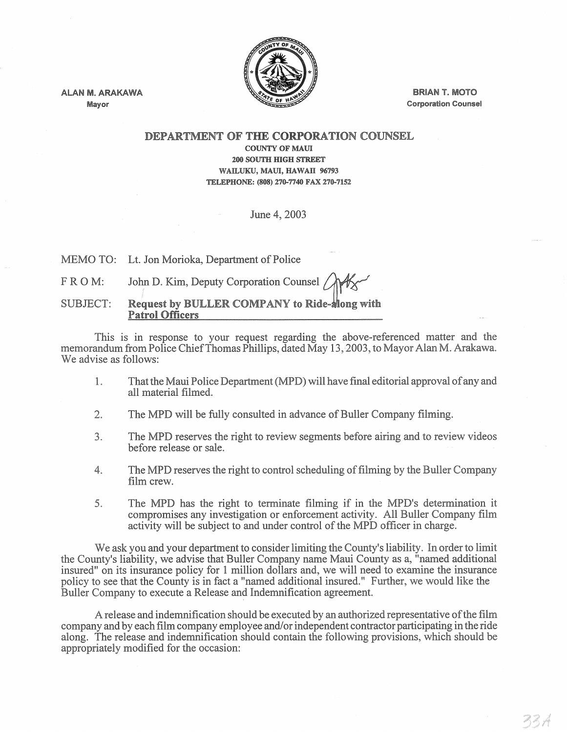

ALAN M. ARAKAWA Mayor

BRIAN T. MOTO Corporation Counsel

## DEPARTMENT OF THE CORPORATION COUNSEL COUNTY OF MAUl 200 SOUTH HIGH STREET WAILUKU, MAUl, HAWAll 96793 TELEPHONE: (808) 270-7740 FAX 270-7152

June 4,2003

MEMO TO: Lt. Jon Morioka, Department of Police

FROM: John D. Kim, Deputy Corporation Counsel

SUBJECT: Request by BULLER COMPANY to Ride-Mong with Patrol Officers

This is in response to your request regarding the above-referenced matter and the memorandum from Police Chief Thomas Phillips, dated May 13,2003, to Mayor Alan M. Arakawa. We advise as follows:

- 1. That the Maui Police Department (MPD) will have final editorial approval of any and all material filmed.
- 2. The MPD will be fully consulted in advance of Buller Company filming.
- 3. The MPD reserves the right to review segments before airing and to review videos before release or sale.
- 4. The MPD reserves the right to control scheduling of filming by the Buller Company film crew.
- 5. The MPD has the right to terminate filming if in the MPD's determination it compromises any investigation or enforcement activity. All Buller Company film activity will be subject to and under control of the MPD officer in charge.

We ask you and your department to consider limiting the County's liability. In order to limit the County's liability, we advise that Buller Company name Maui County as a, "named additional insured" on its insurance policy for 1 million dollars and, we will need to examine the insurance policy to see that the County is in fact a "named additional insured." Further, we would like the Buller Company to execute a Release and Indemnification agreement.

A release and indemnification should be executed by an authorized representative of the film company and by each film company employee and/or independent contractor participating in the ride along. The release and indemnification should contain the following provisions, which should be appropriately modified for the occasion: